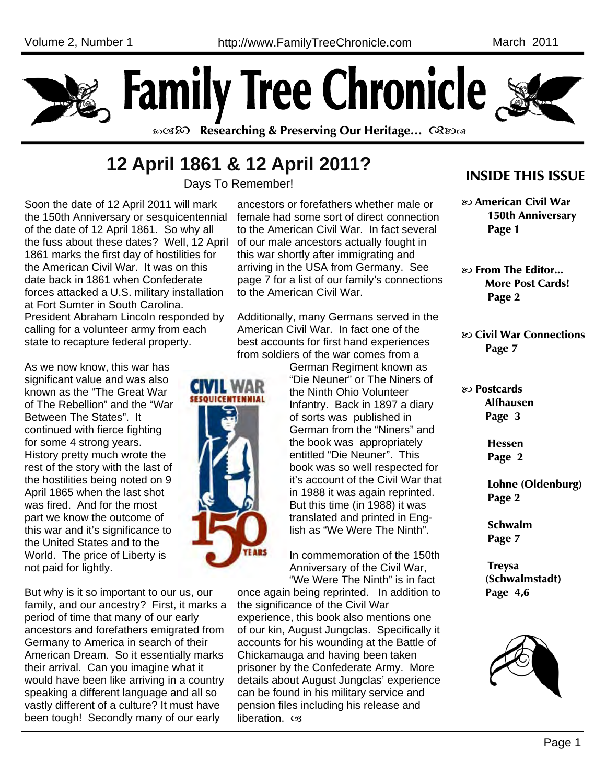



න**ෙනි Researching & Preserving Our Heritage...** මෙහෙ

# **12 April 1861 & 12 April 2011?**

Days To Remember!

Soon the date of 12 April 2011 will mark the 150th Anniversary or sesquicentennial of the date of 12 April 1861. So why all the fuss about these dates? Well, 12 April 1861 marks the first day of hostilities for the American Civil War. It was on this date back in 1861 when Confederate forces attacked a U.S. military installation at Fort Sumter in South Carolina. President Abraham Lincoln responded by calling for a volunteer army from each state to recapture federal property.

As we now know, this war has significant value and was also known as the "The Great War of The Rebellion" and the "War Between The States". It continued with fierce fighting for some 4 strong years. History pretty much wrote the rest of the story with the last of the hostilities being noted on 9 April 1865 when the last shot was fired. And for the most part we know the outcome of this war and it's significance to the United States and to the World. The price of Liberty is not paid for lightly.

But why is it so important to our us, our family, and our ancestry? First, it marks a period of time that many of our early ancestors and forefathers emigrated from Germany to America in search of their American Dream. So it essentially marks their arrival. Can you imagine what it would have been like arriving in a country speaking a different language and all so vastly different of a culture? It must have been tough! Secondly many of our early

ancestors or forefathers whether male or female had some sort of direct connection to the American Civil War. In fact several of our male ancestors actually fought in this war shortly after immigrating and arriving in the USA from Germany. See page 7 for a list of our family's connections to the American Civil War.

Additionally, many Germans served in the American Civil War. In fact one of the best accounts for first hand experiences from soldiers of the war comes from a



German Regiment known as "Die Neuner" or The Niners of the Ninth Ohio Volunteer Infantry. Back in 1897 a diary of sorts was published in German from the "Niners" and the book was appropriately entitled "Die Neuner". This book was so well respected for it's account of the Civil War that in 1988 it was again reprinted. But this time (in 1988) it was translated and printed in English as "We Were The Ninth".

In commemoration of the 150th Anniversary of the Civil War, "We Were The Ninth" is in fact

once again being reprinted. In addition to the significance of the Civil War experience, this book also mentions one of our kin, August Jungclas. Specifically it accounts for his wounding at the Battle of Chickamauga and having been taken prisoner by the Confederate Army. More details about August Jungclas' experience can be found in his military service and pension files including his release and liberation. cx

### INSIDE THIS ISSUE

 American Civil War 150th Anniversary Page 1

 $\infty$  From The Editor... More Post Cards! Page 2

 Civil War Connections Page 7

 Postcards Alfhausen Page 3

> Hessen Page 2

 Lohne (Oldenburg) Page 2

 Schwalm Page 7

 Treysa (Schwalmstadt) Page 4,6

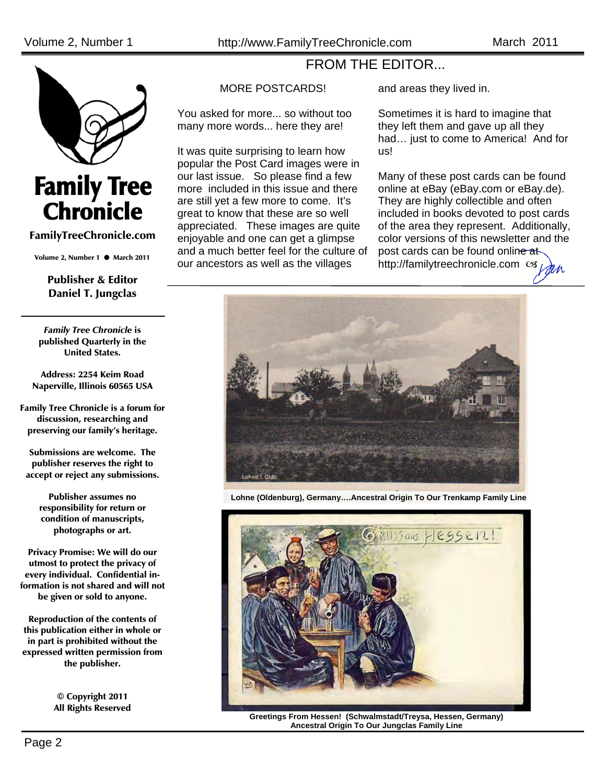

# **Family Tree<br>Chronicle**

#### FamilyTreeChronicle.com

Volume 2, Number 1  $\bullet$  March 2011

#### Publisher & Editor Daniel T. Jungclas

*Family Tree Chronicle* is published Quarterly in the United States.

Address: 2254 Keim Road Naperville, Illinois 60565 USA

Family Tree Chronicle is a forum for discussion, researching and preserving our family's heritage.

Submissions are welcome. The publisher reserves the right to accept or reject any submissions.

> Publisher assumes no responsibility for return or condition of manuscripts, photographs or art.

Privacy Promise: We will do our utmost to protect the privacy of every individual. Confidential information is not shared and will not be given or sold to anyone.

Reproduction of the contents of this publication either in whole or in part is prohibited without the expressed written permission from the publisher.

> © Copyright 2011 All Rights Reserved

#### MORE POSTCARDS!

You asked for more... so without too many more words... here they are!

It was quite surprising to learn how popular the Post Card images were in our last issue. So please find a few more included in this issue and there are still yet a few more to come. It's great to know that these are so well appreciated. These images are quite enjoyable and one can get a glimpse and a much better feel for the culture of our ancestors as well as the villages

and areas they lived in.

FROM THE EDITOR...

Sometimes it is hard to imagine that they left them and gave up all they had… just to come to America! And for us!

Many of these post cards can be found online at eBay (eBay.com or eBay.de). They are highly collectible and often included in books devoted to post cards of the area they represent. Additionally, color versions of this newsletter and the post cards can be found online at http://familytreechronicle.com cs



**Lohne (Oldenburg), Germany….Ancestral Origin To Our Trenkamp Family Line** 



**Greetings From Hessen! (Schwalmstadt/Treysa, Hessen, Germany) Ancestral Origin To Our Jungclas Family Line**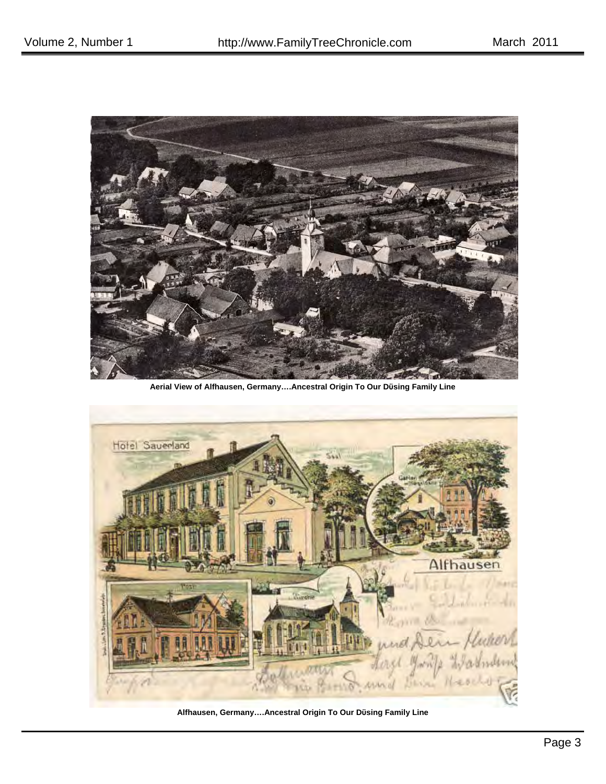

**Aerial View of Alfhausen, Germany….Ancestral Origin To Our Dϋsing Family Line** 



**Alfhausen, Germany….Ancestral Origin To Our Dϋsing Family Line**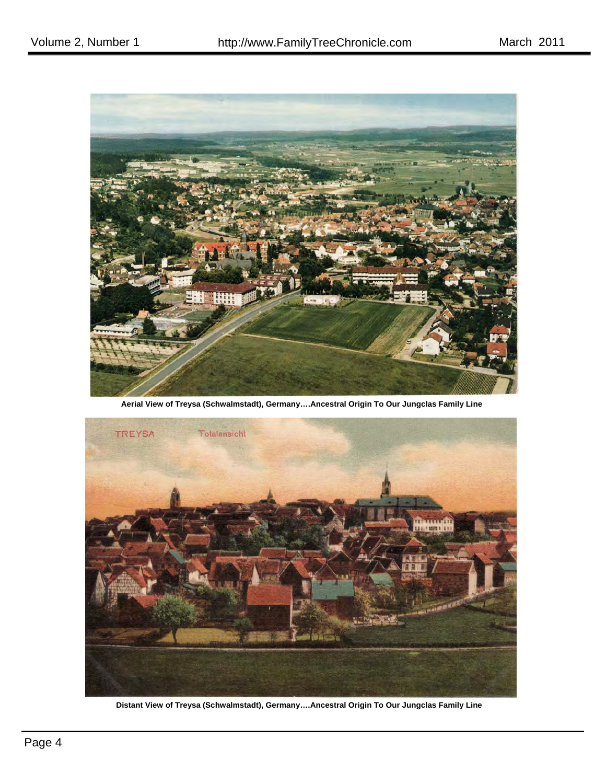

**Aerial View of Treysa (Schwalmstadt), Germany….Ancestral Origin To Our Jungclas Family Line** 



**Distant View of Treysa (Schwalmstadt), Germany….Ancestral Origin To Our Jungclas Family Line**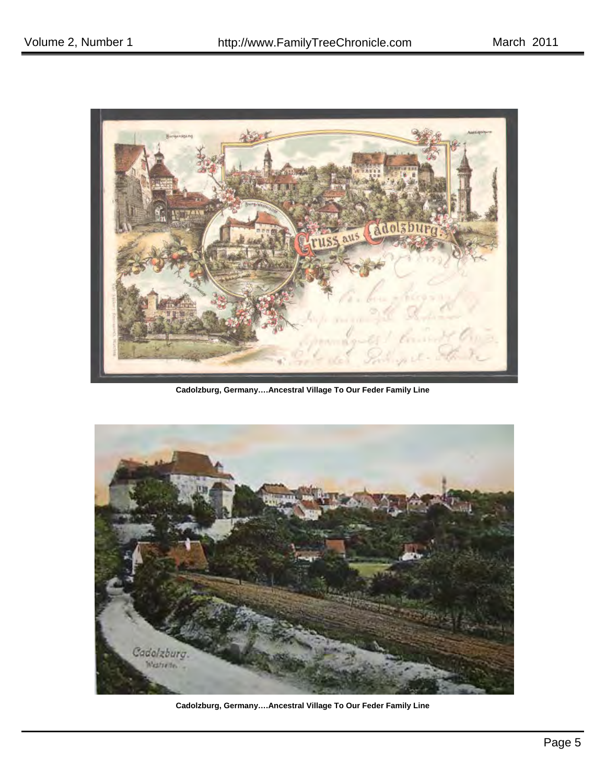

**Cadolzburg, Germany….Ancestral Village To Our Feder Family Line** 



**Cadolzburg, Germany….Ancestral Village To Our Feder Family Line**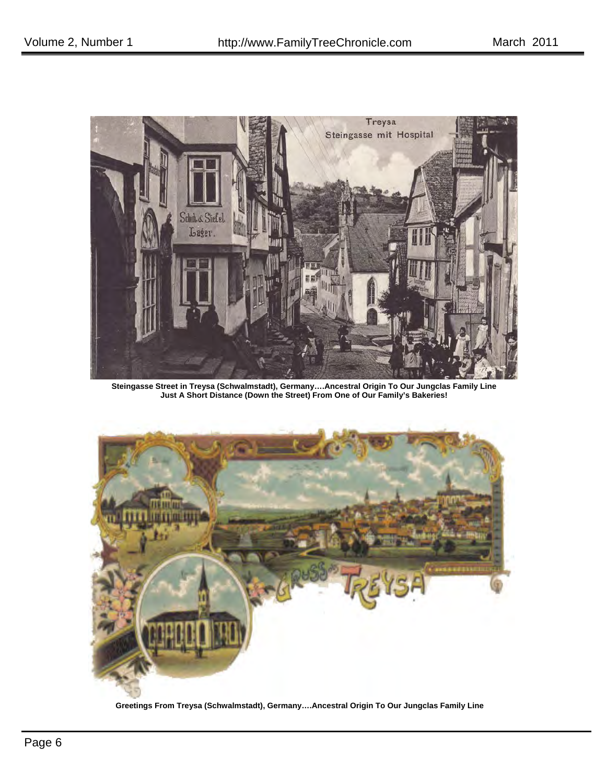

**Steingasse Street in Treysa (Schwalmstadt), Germany….Ancestral Origin To Our Jungclas Family Line Just A Short Distance (Down the Street) From One of Our Family's Bakeries!** 



**Greetings From Treysa (Schwalmstadt), Germany….Ancestral Origin To Our Jungclas Family Line**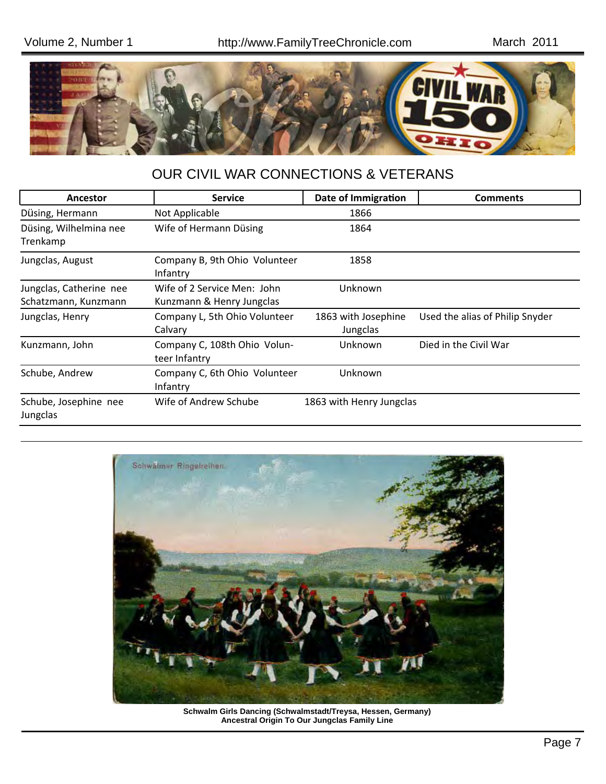

## OUR CIVIL WAR CONNECTIONS & VETERANS

| Ancestor                                        | <b>Service</b>                                           | Date of Immigration             | <b>Comments</b>                 |
|-------------------------------------------------|----------------------------------------------------------|---------------------------------|---------------------------------|
| Düsing, Hermann                                 | Not Applicable                                           | 1866                            |                                 |
| Düsing, Wilhelmina nee<br>Trenkamp              | Wife of Hermann Düsing                                   | 1864                            |                                 |
| Jungclas, August                                | Company B, 9th Ohio Volunteer<br>Infantry                | 1858                            |                                 |
| Jungclas, Catherine nee<br>Schatzmann, Kunzmann | Wife of 2 Service Men: John<br>Kunzmann & Henry Jungclas | Unknown                         |                                 |
| Jungclas, Henry                                 | Company L, 5th Ohio Volunteer<br>Calvary                 | 1863 with Josephine<br>Jungclas | Used the alias of Philip Snyder |
| Kunzmann, John                                  | Company C, 108th Ohio Volun-<br>teer Infantry            | Unknown                         | Died in the Civil War           |
| Schube, Andrew                                  | Company C, 6th Ohio Volunteer<br>Infantry                | Unknown                         |                                 |
| Schube, Josephine nee<br>Jungclas               | Wife of Andrew Schube                                    | 1863 with Henry Jungclas        |                                 |



**Schwalm Girls Dancing (Schwalmstadt/Treysa, Hessen, Germany) Ancestral Origin To Our Jungclas Family Line**